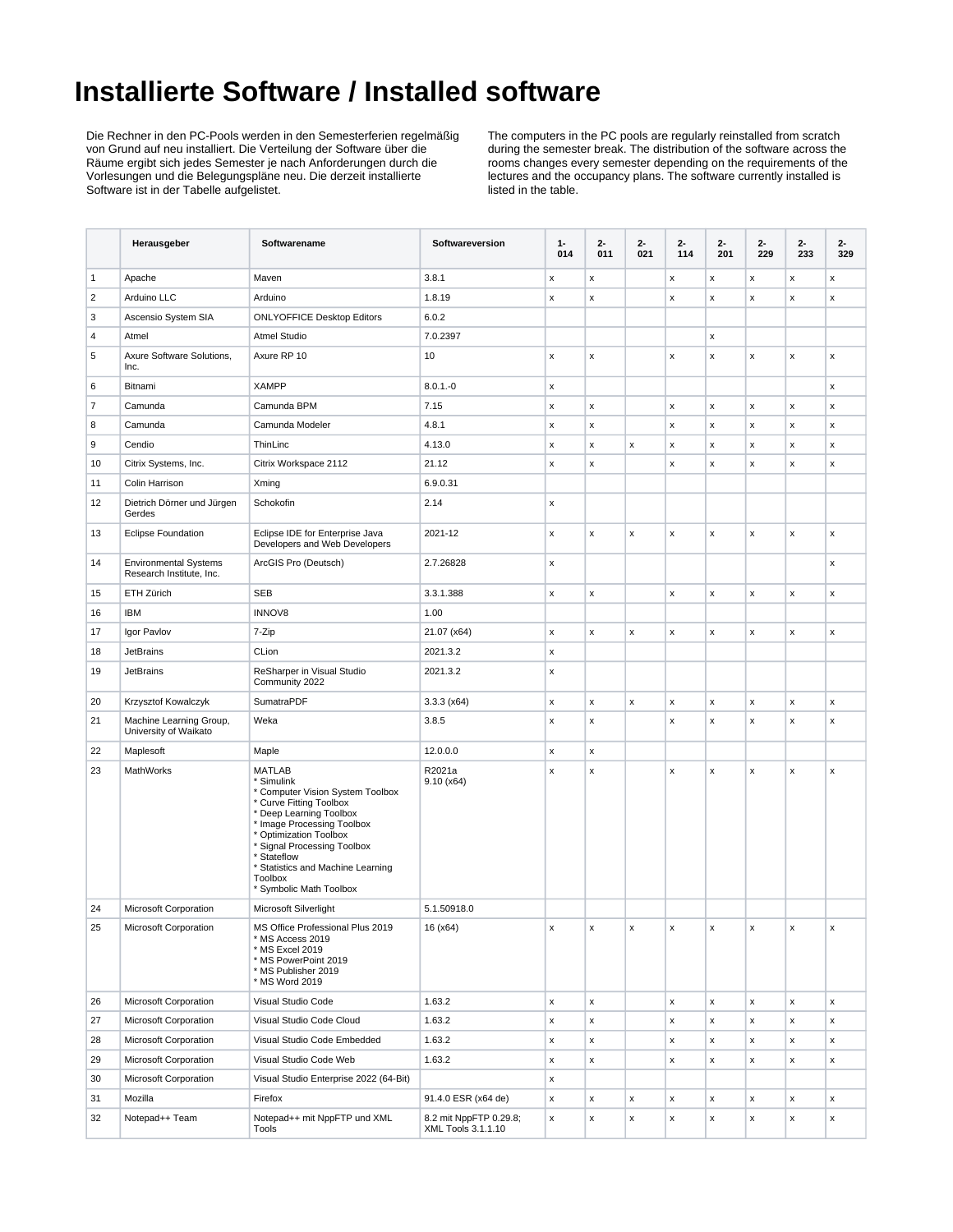## **Installierte Software / Installed software**

Die Rechner in den PC-Pools werden in den Semesterferien regelmäßig von Grund auf neu installiert. Die Verteilung der Software über die Räume ergibt sich jedes Semester je nach Anforderungen durch die Vorlesungen und die Belegungspläne neu. Die derzeit installierte Software ist in der Tabelle aufgelistet.

The computers in the PC pools are regularly reinstalled from scratch during the semester break. The distribution of the software across the rooms changes every semester depending on the requirements of the lectures and the occupancy plans. The software currently installed is listed in the table.

|                | Herausgeber                                              | Softwarename                                                                                                                                                                                                                                                                                           | Softwareversion                              | $1 -$<br>014 | $2 -$<br>011       | $2 -$<br>021 | $2 -$<br>114 | 2-<br>201 | 2-<br>229 | $2 -$<br>233       | $2 -$<br>329 |
|----------------|----------------------------------------------------------|--------------------------------------------------------------------------------------------------------------------------------------------------------------------------------------------------------------------------------------------------------------------------------------------------------|----------------------------------------------|--------------|--------------------|--------------|--------------|-----------|-----------|--------------------|--------------|
| $\mathbf{1}$   | Apache                                                   | Maven                                                                                                                                                                                                                                                                                                  | 3.8.1                                        | X            | x                  |              | x            | x         | X         | x                  | x            |
| $\overline{2}$ | Arduino LLC                                              | Arduino                                                                                                                                                                                                                                                                                                | 1.8.19                                       | x            | x                  |              | x            | x         | x         | x                  | x            |
| 3              | Ascensio System SIA                                      | <b>ONLYOFFICE Desktop Editors</b>                                                                                                                                                                                                                                                                      | 6.0.2                                        |              |                    |              |              |           |           |                    |              |
| $\overline{4}$ | Atmel                                                    | Atmel Studio                                                                                                                                                                                                                                                                                           | 7.0.2397                                     |              |                    |              |              | x         |           |                    |              |
| 5              | Axure Software Solutions,<br>Inc.                        | Axure RP 10                                                                                                                                                                                                                                                                                            | 10                                           | x            | X                  |              | x            | x         | x         | x                  | x            |
| 6              | Bitnami                                                  | <b>XAMPP</b>                                                                                                                                                                                                                                                                                           | $8.0.1 - 0$                                  | x            |                    |              |              |           |           |                    | x            |
| $\overline{7}$ | Camunda                                                  | Camunda BPM                                                                                                                                                                                                                                                                                            | 7.15                                         | x            | x                  |              | x            | x         | x         | x                  | x            |
| 8              | Camunda                                                  | Camunda Modeler                                                                                                                                                                                                                                                                                        | 4.8.1                                        | x            | x                  |              | x            | x         | x         | x                  | x            |
| 9              | Cendio                                                   | ThinLinc                                                                                                                                                                                                                                                                                               | 4.13.0                                       | x            | x                  | x            | x            | x         | x         | x                  | x            |
| 10             | Citrix Systems, Inc.                                     | Citrix Workspace 2112                                                                                                                                                                                                                                                                                  | 21.12                                        | x            | x                  |              | x            | x         | x         | x                  | x            |
| 11             | Colin Harrison                                           | Xming                                                                                                                                                                                                                                                                                                  | 6.9.0.31                                     |              |                    |              |              |           |           |                    |              |
| 12             | Dietrich Dörner und Jürgen<br>Gerdes                     | Schokofin                                                                                                                                                                                                                                                                                              | 2.14                                         | x            |                    |              |              |           |           |                    |              |
| 13             | <b>Eclipse Foundation</b>                                | Eclipse IDE for Enterprise Java<br>Developers and Web Developers                                                                                                                                                                                                                                       | 2021-12                                      | x            | x                  | X            | x            | x         | x         | x                  | x            |
| 14             | <b>Environmental Systems</b><br>Research Institute, Inc. | ArcGIS Pro (Deutsch)                                                                                                                                                                                                                                                                                   | 2.7.26828                                    | x            |                    |              |              |           |           |                    | x            |
| 15             | ETH Zürich                                               | <b>SEB</b>                                                                                                                                                                                                                                                                                             | 3.3.1.388                                    | x            | x                  |              | x            | x         | X         | x                  | x            |
| 16             | <b>IBM</b>                                               | <b>INNOV8</b>                                                                                                                                                                                                                                                                                          | 1.00                                         |              |                    |              |              |           |           |                    |              |
| 17             | Igor Pavlov                                              | 7-Zip                                                                                                                                                                                                                                                                                                  | 21.07 (x64)                                  | x            | x                  | x            | x            | x         | x         | x                  | x            |
| 18             | <b>JetBrains</b>                                         | CLion                                                                                                                                                                                                                                                                                                  | 2021.3.2                                     | x            |                    |              |              |           |           |                    |              |
| 19             | <b>JetBrains</b>                                         | ReSharper in Visual Studio<br>Community 2022                                                                                                                                                                                                                                                           | 2021.3.2                                     | X            |                    |              |              |           |           |                    |              |
| 20             | Krzysztof Kowalczyk                                      | <b>SumatraPDF</b>                                                                                                                                                                                                                                                                                      | 3.3.3(x64)                                   | x            | x                  | X            | x            | x         | x         | $\pmb{\mathsf{x}}$ | x            |
| 21             | Machine Learning Group,<br>University of Waikato         | Weka                                                                                                                                                                                                                                                                                                   | 3.8.5                                        | x            | x                  |              | x            | x         | x         | x                  | x            |
| 22             | Maplesoft                                                | Maple                                                                                                                                                                                                                                                                                                  | 12.0.0.0                                     | x            | X                  |              |              |           |           |                    |              |
| 23             | MathWorks                                                | <b>MATLAB</b><br>* Simulink<br>* Computer Vision System Toolbox<br>* Curve Fitting Toolbox<br>* Deep Learning Toolbox<br>* Image Processing Toolbox<br>* Optimization Toolbox<br>* Signal Processing Toolbox<br>* Stateflow<br>* Statistics and Machine Learning<br>Toolbox<br>* Symbolic Math Toolbox | R2021a<br>9.10(x64)                          | x            | x                  |              | x            | x         | X         | x                  | x            |
| 24             | Microsoft Corporation                                    | Microsoft Silverlight                                                                                                                                                                                                                                                                                  | 5.1.50918.0                                  |              |                    |              |              |           |           |                    |              |
| 25             | Microsoft Corporation                                    | MS Office Professional Plus 2019<br>* MS Access 2019<br>* MS Excel 2019<br>* MS PowerPoint 2019<br>* MS Publisher 2019<br>* MS Word 2019                                                                                                                                                               | 16 (x64)                                     |              | x                  | x            | х            | x         | х         | х                  |              |
| 26             | Microsoft Corporation                                    | Visual Studio Code                                                                                                                                                                                                                                                                                     | 1.63.2                                       | x            | x                  |              | x            | x         | x         | x                  | x            |
| 27             | Microsoft Corporation                                    | Visual Studio Code Cloud                                                                                                                                                                                                                                                                               | 1.63.2                                       | x            | X                  |              | x            | x         | x         | x                  | x            |
| 28             | Microsoft Corporation                                    | Visual Studio Code Embedded                                                                                                                                                                                                                                                                            | 1.63.2                                       | x            | X                  |              | x            | x         | x         | x                  | x            |
| 29             | Microsoft Corporation                                    | Visual Studio Code Web                                                                                                                                                                                                                                                                                 | 1.63.2                                       | x            | $\pmb{\mathsf{x}}$ |              | x            | x         | x         | x                  | x            |
| 30             | Microsoft Corporation                                    | Visual Studio Enterprise 2022 (64-Bit)                                                                                                                                                                                                                                                                 |                                              | x            |                    |              |              |           |           |                    |              |
| 31             | Mozilla                                                  | Firefox                                                                                                                                                                                                                                                                                                | 91.4.0 ESR (x64 de)                          | x            | x                  | X            | x            | x         | x         | x                  | x            |
| 32             | Notepad++ Team                                           | Notepad++ mit NppFTP und XML<br>Tools                                                                                                                                                                                                                                                                  | 8.2 mit NppFTP 0.29.8;<br>XML Tools 3.1.1.10 | x            | X                  | X            | x            | x         | x         | x                  | x            |